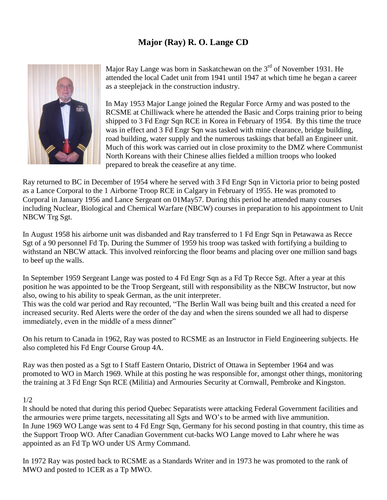## **Major (Ray) R. O. Lange CD**



Major Ray Lange was born in Saskatchewan on the 3<sup>rd</sup> of November 1931. He attended the local Cadet unit from 1941 until 1947 at which time he began a career as a steeplejack in the construction industry.

In May 1953 Major Lange joined the Regular Force Army and was posted to the RCSME at Chilliwack where he attended the Basic and Corps training prior to being shipped to 3 Fd Engr Sqn RCE in Korea in February of 1954. By this time the truce was in effect and 3 Fd Engr Sqn was tasked with mine clearance, bridge building, road building, water supply and the numerous taskings that befall an Engineer unit. Much of this work was carried out in close proximity to the DMZ where Communist North Koreans with their Chinese allies fielded a million troops who looked prepared to break the ceasefire at any time.

Ray returned to BC in December of 1954 where he served with 3 Fd Engr Sqn in Victoria prior to being posted as a Lance Corporal to the 1 Airborne Troop RCE in Calgary in February of 1955. He was promoted to Corporal in January 1956 and Lance Sergeant on 01May57. During this period he attended many courses including Nuclear, Biological and Chemical Warfare (NBCW) courses in preparation to his appointment to Unit NBCW Trg Sgt.

In August 1958 his airborne unit was disbanded and Ray transferred to 1 Fd Engr Sqn in Petawawa as Recce Sgt of a 90 personnel Fd Tp. During the Summer of 1959 his troop was tasked with fortifying a building to withstand an NBCW attack. This involved reinforcing the floor beams and placing over one million sand bags to beef up the walls.

In September 1959 Sergeant Lange was posted to 4 Fd Engr Sqn as a Fd Tp Recce Sgt. After a year at this position he was appointed to be the Troop Sergeant, still with responsibility as the NBCW Instructor, but now also, owing to his ability to speak German, as the unit interpreter.

This was the cold war period and Ray recounted, "The Berlin Wall was being built and this created a need for increased security. Red Alerts were the order of the day and when the sirens sounded we all had to disperse immediately, even in the middle of a mess dinner"

On his return to Canada in 1962, Ray was posted to RCSME as an Instructor in Field Engineering subjects. He also completed his Fd Engr Course Group 4A.

Ray was then posted as a Sgt to I Staff Eastern Ontario, District of Ottawa in September 1964 and was promoted to WO in March 1969. While at this posting he was responsible for, amongst other things, monitoring the training at 3 Fd Engr Sqn RCE (Militia) and Armouries Security at Cornwall, Pembroke and Kingston.

## 1/2

It should be noted that during this period Quebec Separatists were attacking Federal Government facilities and the armouries were prime targets, necessitating all Sgts and WO's to be armed with live ammunition. In June 1969 WO Lange was sent to 4 Fd Engr Sqn, Germany for his second posting in that country, this time as the Support Troop WO. After Canadian Government cut-backs WO Lange moved to Lahr where he was appointed as an Fd Tp WO under US Army Command.

In 1972 Ray was posted back to RCSME as a Standards Writer and in 1973 he was promoted to the rank of MWO and posted to 1CER as a Tp MWO.